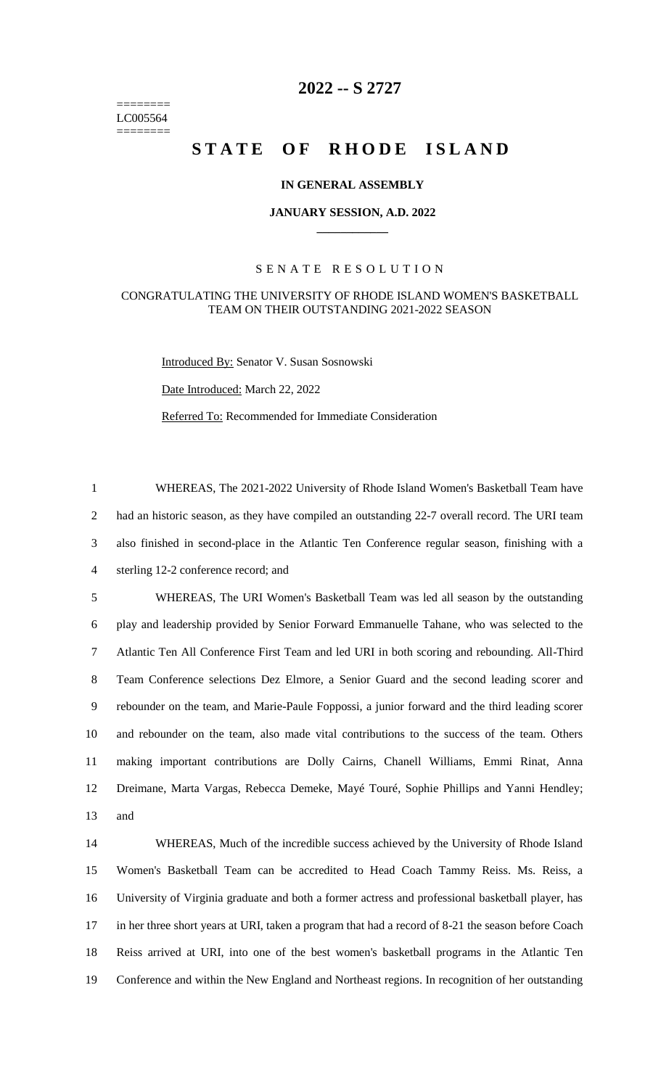======== LC005564 ========

## **-- S 2727**

# **STATE OF RHODE ISLAND**

### **IN GENERAL ASSEMBLY**

#### **JANUARY SESSION, A.D. 2022 \_\_\_\_\_\_\_\_\_\_\_\_**

#### S E N A T E R E S O L U T I O N

#### CONGRATULATING THE UNIVERSITY OF RHODE ISLAND WOMEN'S BASKETBALL TEAM ON THEIR OUTSTANDING 2021-2022 SEASON

Introduced By: Senator V. Susan Sosnowski

Date Introduced: March 22, 2022

Referred To: Recommended for Immediate Consideration

 WHEREAS, The 2021-2022 University of Rhode Island Women's Basketball Team have had an historic season, as they have compiled an outstanding 22-7 overall record. The URI team also finished in second-place in the Atlantic Ten Conference regular season, finishing with a sterling 12-2 conference record; and

 WHEREAS, The URI Women's Basketball Team was led all season by the outstanding play and leadership provided by Senior Forward Emmanuelle Tahane, who was selected to the Atlantic Ten All Conference First Team and led URI in both scoring and rebounding. All-Third Team Conference selections Dez Elmore, a Senior Guard and the second leading scorer and rebounder on the team, and Marie-Paule Foppossi, a junior forward and the third leading scorer and rebounder on the team, also made vital contributions to the success of the team. Others making important contributions are Dolly Cairns, Chanell Williams, Emmi Rinat, Anna Dreimane, Marta Vargas, Rebecca Demeke, Mayé Touré, Sophie Phillips and Yanni Hendley; and

 WHEREAS, Much of the incredible success achieved by the University of Rhode Island Women's Basketball Team can be accredited to Head Coach Tammy Reiss. Ms. Reiss, a University of Virginia graduate and both a former actress and professional basketball player, has in her three short years at URI, taken a program that had a record of 8-21 the season before Coach Reiss arrived at URI, into one of the best women's basketball programs in the Atlantic Ten Conference and within the New England and Northeast regions. In recognition of her outstanding